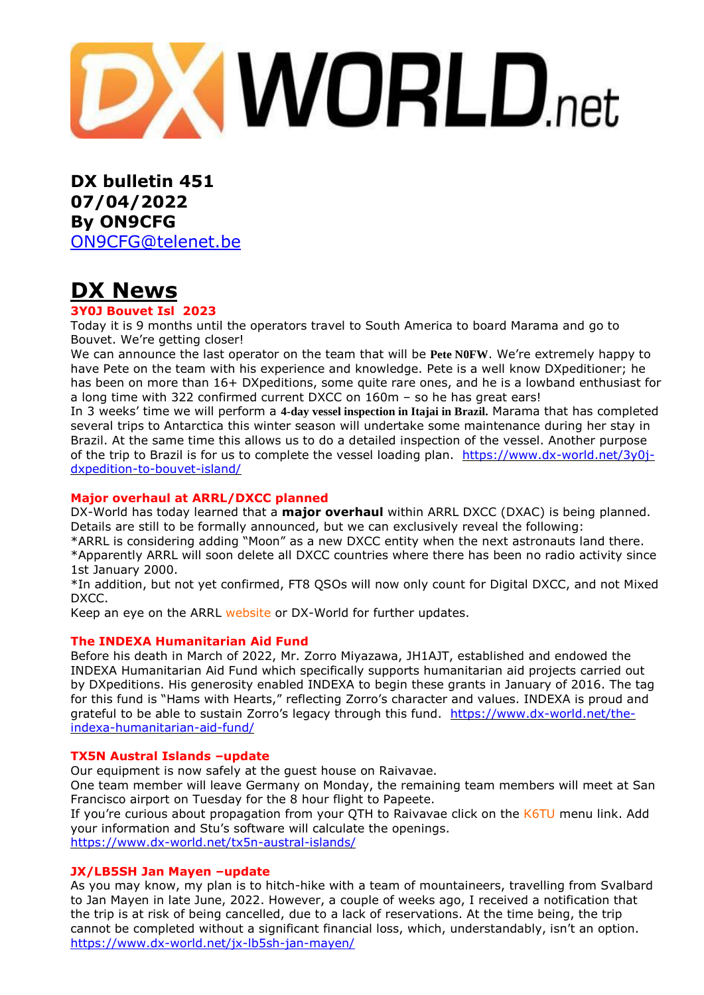**DXWORLD.net** 

**DX bulletin 451 07/04/2022 By ON9CFG** [ON9CFG@telenet.be](mailto:ON9CFG@telenet.be)

# **DX News**

#### **3Y0J Bouvet Isl 2023**

Today it is 9 months until the operators travel to South America to board Marama and go to Bouvet. We're getting closer!

We can announce the last operator on the team that will be **Pete N0FW**. We're extremely happy to have Pete on the team with his experience and knowledge. Pete is a well know DXpeditioner; he has been on more than 16+ DXpeditions, some quite rare ones, and he is a lowband enthusiast for a long time with 322 confirmed current DXCC on 160m – so he has great ears!

In 3 weeks' time we will perform a **4-day vessel inspection in Itajai in Brazil.** Marama that has completed several trips to Antarctica this winter season will undertake some maintenance during her stay in Brazil. At the same time this allows us to do a detailed inspection of the vessel. Another purpose of the trip to Brazil is for us to complete the vessel loading plan. [https://www.dx-world.net/3y0j](https://www.dx-world.net/3y0j-dxpedition-to-bouvet-island/)[dxpedition-to-bouvet-island/](https://www.dx-world.net/3y0j-dxpedition-to-bouvet-island/)

#### **Major overhaul at ARRL/DXCC planned**

DX-World has today learned that a **major overhaul** within ARRL DXCC (DXAC) is being planned. Details are still to be formally announced, but we can exclusively reveal the following:

\*ARRL is considering adding "Moon" as a new DXCC entity when the next astronauts land there. \*Apparently ARRL will soon delete all DXCC countries where there has been no radio activity since 1st January 2000.

\*In addition, but not yet confirmed, FT8 QSOs will now only count for Digital DXCC, and not Mixed DXCC.

Keep an eye on the ARRL [website](https://www.arrl.org/) or DX-World for further updates.

### **The INDEXA Humanitarian Aid Fund**

Before his death in March of 2022, Mr. Zorro Miyazawa, JH1AJT, established and endowed the INDEXA Humanitarian Aid Fund which specifically supports humanitarian aid projects carried out by DXpeditions. His generosity enabled INDEXA to begin these grants in January of 2016. The tag for this fund is "Hams with Hearts," reflecting Zorro's character and values. INDEXA is proud and grateful to be able to sustain Zorro's legacy through this fund. [https://www.dx-world.net/the](https://www.dx-world.net/the-indexa-humanitarian-aid-fund/)[indexa-humanitarian-aid-fund/](https://www.dx-world.net/the-indexa-humanitarian-aid-fund/)

### **TX5N Austral Islands –update**

Our equipment is now safely at the guest house on Raivavae.

One team member will leave Germany on Monday, the remaining team members will meet at San Francisco airport on Tuesday for the 8 hour flight to Papeete.

If you're curious about propagation from your QTH to Raivavae click on the [K6TU](https://tx5n.net/k6tu-propagation-tools/) menu link. Add your information and Stu's software will calculate the openings.

<https://www.dx-world.net/tx5n-austral-islands/>

### **JX/LB5SH Jan Mayen –update**

As you may know, my plan is to hitch-hike with a team of mountaineers, travelling from Svalbard to Jan Mayen in late June, 2022. However, a couple of weeks ago, I received a notification that the trip is at risk of being cancelled, due to a lack of reservations. At the time being, the trip cannot be completed without a significant financial loss, which, understandably, isn't an option. <https://www.dx-world.net/jx-lb5sh-jan-mayen/>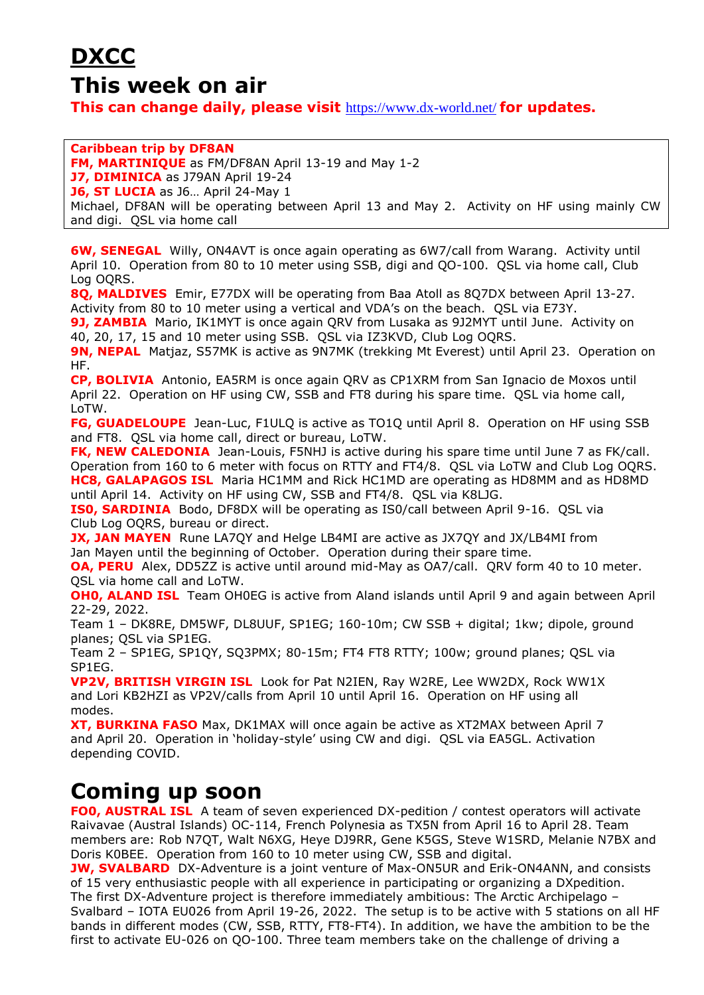# **DXCC**

### **This week on air**

**This can change daily, please visit** <https://www.dx-world.net/> **for updates.**

#### **Caribbean trip by DF8AN**

**FM, MARTINIQUE** as FM/DF8AN April 13-19 and May 1-2

**J7, DIMINICA** as J79AN April 19-24

**J6, ST LUCIA** as J6… April 24-May 1

Michael, DF8AN will be operating between April 13 and May 2. Activity on HF using mainly CW and digi. QSL via home call

**6W, SENEGAL** Willy, ON4AVT is once again operating as 6W7/call from Warang. Activity until April 10. Operation from 80 to 10 meter using SSB, digi and QO-100. QSL via home call, Club Log OQRS.

**8Q, MALDIVES** Emir, E77DX will be operating from Baa Atoll as 8Q7DX between April 13-27. Activity from 80 to 10 meter using a vertical and VDA's on the beach. QSL via E73Y.

**9J, ZAMBIA** Mario, IK1MYT is once again QRV from Lusaka as 9J2MYT until June. Activity on 40, 20, 17, 15 and 10 meter using SSB. QSL via IZ3KVD, Club Log OQRS.

**9N, NEPAL** Matjaz, S57MK is active as 9N7MK (trekking Mt Everest) until April 23. Operation on HF.

**CP, BOLIVIA** Antonio, EA5RM is once again QRV as CP1XRM from San Ignacio de Moxos until April 22. Operation on HF using CW, SSB and FT8 during his spare time. QSL via home call, LoTW.

**FG, GUADELOUPE** Jean-Luc, F1ULQ is active as TO1Q until April 8. Operation on HF using SSB and FT8. QSL via home call, direct or bureau, LoTW.

**FK, NEW CALEDONIA** Jean-Louis, F5NHJ is active during his spare time until June 7 as FK/call. Operation from 160 to 6 meter with focus on RTTY and FT4/8. QSL via LoTW and Club Log OQRS. **HC8, GALAPAGOS ISL** Maria HC1MM and Rick HC1MD are operating as HD8MM and as HD8MD until April 14. Activity on HF using CW, SSB and FT4/8. QSL via K8LJG.

**IS0, SARDINIA** Bodo, DF8DX will be operating as IS0/call between April 9-16. QSL via Club Log OQRS, bureau or direct.

**JX, JAN MAYEN** Rune LA7QY and Helge LB4MI are active as JX7QY and JX/LB4MI from Jan Mayen until the beginning of October. Operation during their spare time.

**OA, PERU** Alex, DD5ZZ is active until around mid-May as OA7/call. QRV form 40 to 10 meter. QSL via home call and LoTW.

**OH0, ALAND ISL** Team OH0EG is active from Aland islands until April 9 and again between April 22-29, 2022.

Team 1 – DK8RE, DM5WF, DL8UUF, SP1EG; 160-10m; CW SSB + digital; 1kw; dipole, ground planes; QSL via SP1EG.

Team 2 – SP1EG, SP1QY, SQ3PMX; 80-15m; FT4 FT8 RTTY; 100w; ground planes; QSL via SP1EG.

**VP2V, BRITISH VIRGIN ISL** Look for Pat N2IEN, Ray W2RE, Lee WW2DX, Rock WW1X and Lori KB2HZI as VP2V/calls from April 10 until April 16. Operation on HF using all modes.

**XT, BURKINA FASO** Max, DK1MAX will once again be active as XT2MAX between April 7 and April 20. Operation in 'holiday-style' using CW and digi. QSL via EA5GL. Activation depending COVID.

## **Coming up soon**

**FO0, AUSTRAL ISL** A team of seven experienced DX-pedition / contest operators will activate Raivavae (Austral Islands) OC-114, French Polynesia as TX5N from April 16 to April 28. Team members are: Rob N7QT, Walt N6XG, Heye DJ9RR, Gene K5GS, Steve W1SRD, Melanie N7BX and Doris K0BEE. Operation from 160 to 10 meter using CW, SSB and digital.

**JW, SVALBARD** DX-Adventure is a joint venture of Max-ON5UR and Erik-ON4ANN, and consists of 15 very enthusiastic people with all experience in participating or organizing a DXpedition. The first DX-Adventure project is therefore immediately ambitious: The Arctic Archipelago – Svalbard – IOTA EU026 from April 19-26, 2022. The setup is to be active with 5 stations on all HF bands in different modes (CW, SSB, RTTY, FT8-FT4). In addition, we have the ambition to be the first to activate EU-026 on QO-100. Three team members take on the challenge of driving a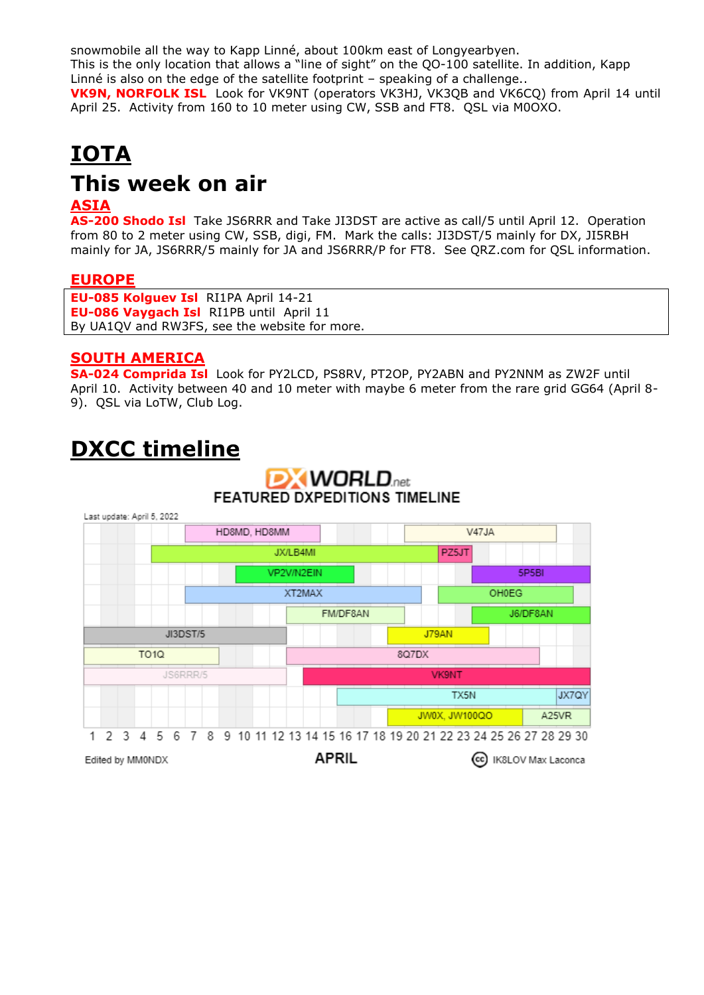snowmobile all the way to Kapp Linné, about 100km east of Longyearbyen. This is the only location that allows a "line of sight" on the QO-100 satellite. In addition, Kapp Linné is also on the edge of the satellite footprint – speaking of a challenge.. **VK9N, NORFOLK ISL** Look for VK9NT (operators VK3HJ, VK3QB and VK6CQ) from April 14 until April 25. Activity from 160 to 10 meter using CW, SSB and FT8. QSL via M0OXO.

# **IOTA This week on air**

### **ASIA**

**AS-200 Shodo Isl** Take JS6RRR and Take JI3DST are active as call/5 until April 12. Operation from 80 to 2 meter using CW, SSB, digi, FM. Mark the calls: JI3DST/5 mainly for DX, JI5RBH mainly for JA, JS6RRR/5 mainly for JA and JS6RRR/P for FT8. See QRZ.com for QSL information.

### **EUROPE**

**EU-085 Kolguev Isl** RI1PA April 14-21 **EU-086 Vaygach Isl** RI1PB until April 11 By UA1QV and RW3FS, see the website for more.

### **SOUTH AMERICA**

**SA-024 Comprida Isl** Look for PY2LCD, PS8RV, PT2OP, PY2ABN and PY2NNM as ZW2F until April 10. Activity between 40 and 10 meter with maybe 6 meter from the rare grid GG64 (April 8- 9). QSL via LoTW, Club Log.

# **DXCC timeline**

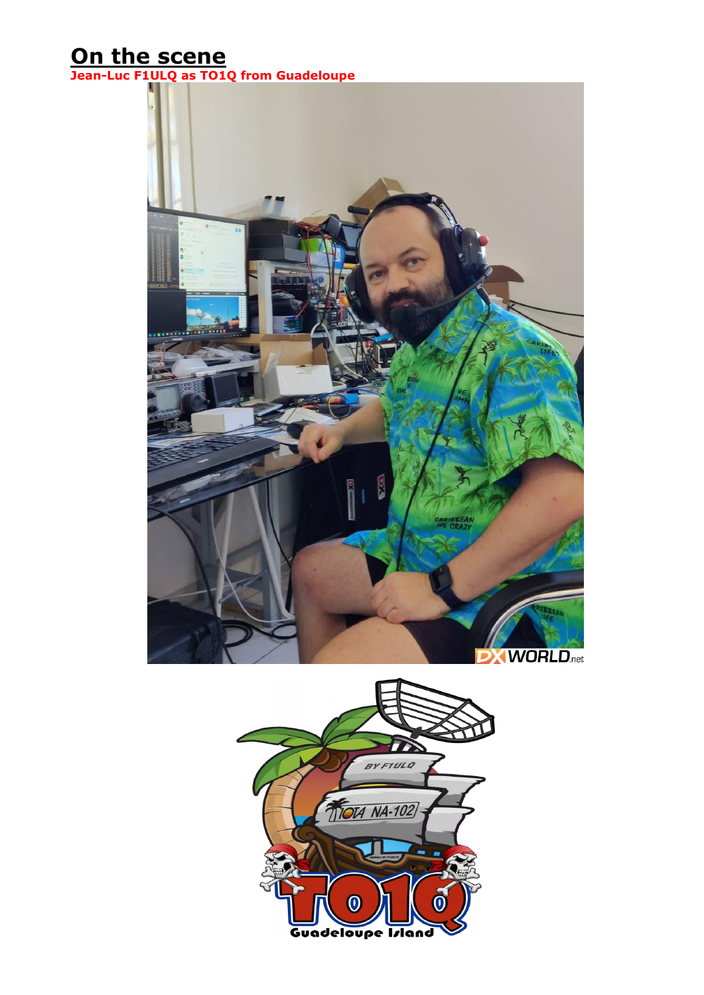# **On the scene**

**Jean-Luc F1ULQ as TO1Q from Guadeloupe**



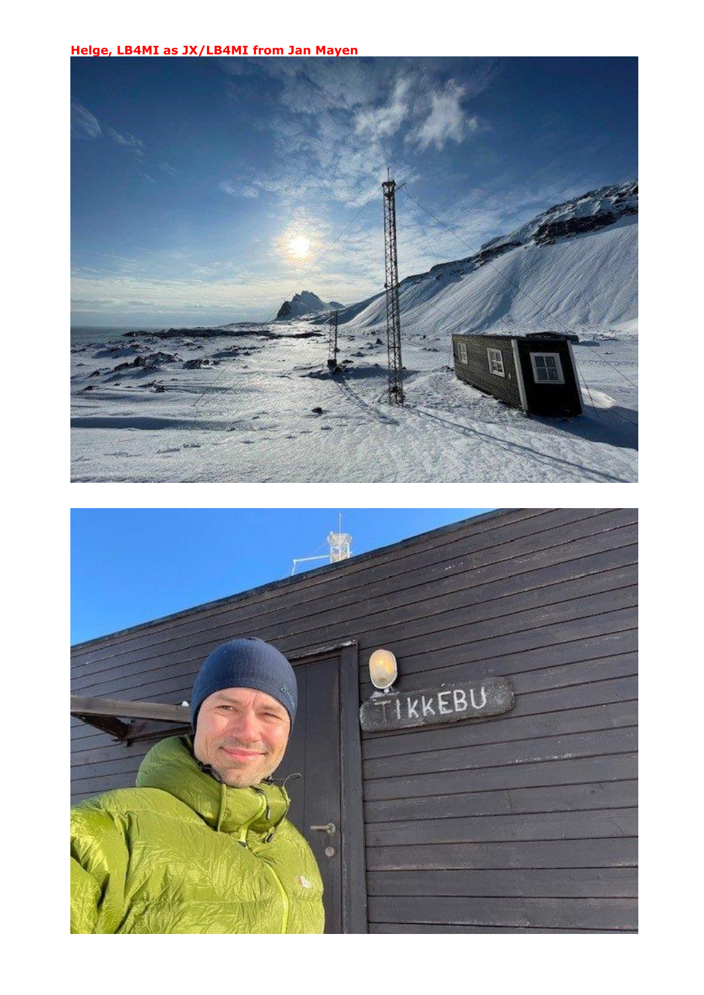**Helge, LB4MI as JX/LB4MI from Jan Mayen**



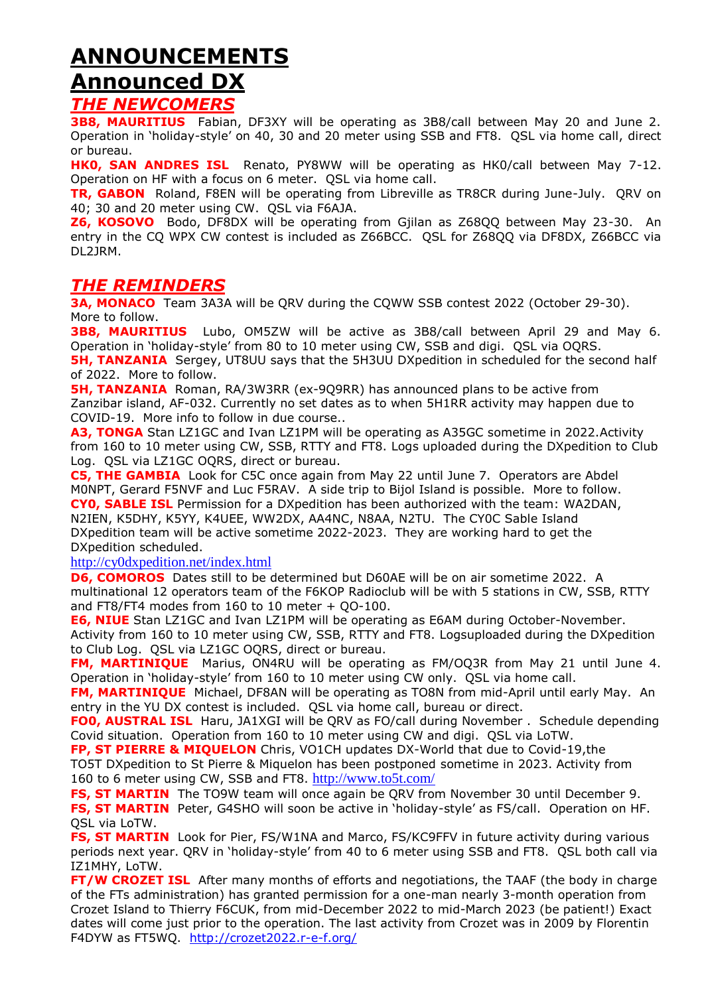# **ANNOUNCEMENTS Announced DX**

### *THE NEWCOMERS*

**3B8, MAURITIUS** Fabian, DF3XY will be operating as 3B8/call between May 20 and June 2. Operation in 'holiday-style' on 40, 30 and 20 meter using SSB and FT8. QSL via home call, direct or bureau.

**HK0, SAN ANDRES ISL** Renato, PY8WW will be operating as HK0/call between May 7-12. Operation on HF with a focus on 6 meter. QSL via home call.

**TR, GABON** Roland, F8EN will be operating from Libreville as TR8CR during June-July. QRV on 40; 30 and 20 meter using CW. QSL via F6AJA.

**Z6, KOSOVO** Bodo, DF8DX will be operating from Gjilan as Z68QQ between May 23-30. An entry in the CQ WPX CW contest is included as Z66BCC. QSL for Z68QQ via DF8DX, Z66BCC via DL2JRM.

### *THE REMINDERS*

**3A, MONACO** Team 3A3A will be QRV during the CQWW SSB contest 2022 (October 29-30). More to follow.

**3B8, MAURITIUS** Lubo, OM5ZW will be active as 3B8/call between April 29 and May 6. Operation in 'holiday-style' from 80 to 10 meter using CW, SSB and digi. QSL via OQRS.

**5H, TANZANIA** Sergey, UT8UU says that the 5H3UU DXpedition in scheduled for the second half of 2022. More to follow.

**5H, TANZANIA** Roman, RA/3W3RR (ex-9Q9RR) has announced plans to be active from Zanzibar island, AF-032. Currently no set dates as to when 5H1RR activity may happen due to COVID-19. More info to follow in due course..

A3, TONGA Stan LZ1GC and Ivan LZ1PM will be operating as A35GC sometime in 2022. Activity from 160 to 10 meter using CW, SSB, RTTY and FT8. Logs uploaded during the DXpedition to Club Log. QSL via LZ1GC OQRS, direct or bureau.

**C5, THE GAMBIA** Look for C5C once again from May 22 until June 7. Operators are Abdel M0NPT, Gerard F5NVF and Luc F5RAV. A side trip to Bijol Island is possible. More to follow. **CY0, SABLE ISL** Permission for a DXpedition has been authorized with the team: WA2DAN, N2IEN, K5DHY, K5YY, K4UEE, WW2DX, AA4NC, N8AA, N2TU. The CY0C Sable Island DXpedition team will be active sometime 2022-2023. They are working hard to get the DXpedition scheduled.

<http://cy0dxpedition.net/index.html>

**D6, COMOROS** Dates still to be determined but D60AE will be on air sometime 2022. A multinational 12 operators team of the F6KOP Radioclub will be with 5 stations in CW, SSB, RTTY and FT8/FT4 modes from 160 to 10 meter + QO-100.

**E6, NIUE** Stan LZ1GC and Ivan LZ1PM will be operating as E6AM during October-November. Activity from 160 to 10 meter using CW, SSB, RTTY and FT8. Logsuploaded during the DXpedition to Club Log. QSL via LZ1GC OQRS, direct or bureau.

**FM, MARTINIQUE** Marius, ON4RU will be operating as FM/OQ3R from May 21 until June 4. Operation in 'holiday-style' from 160 to 10 meter using CW only. QSL via home call.

**FM, MARTINIQUE** Michael, DF8AN will be operating as TO8N from mid-April until early May. An entry in the YU DX contest is included. QSL via home call, bureau or direct.

**FO0, AUSTRAL ISL** Haru, JA1XGI will be QRV as FO/call during November . Schedule depending Covid situation. Operation from 160 to 10 meter using CW and digi. QSL via LoTW.

**FP, ST PIERRE & MIQUELON** Chris, VO1CH updates DX-World that due to Covid-19,the TO5T DXpedition to St Pierre & Miquelon has been postponed sometime in 2023. Activity from 160 to 6 meter using CW, SSB and FT8. <http://www.to5t.com/>

**FS, ST MARTIN** The TO9W team will once again be QRV from November 30 until December 9. **FS, ST MARTIN** Peter, G4SHO will soon be active in 'holiday-style' as FS/call. Operation on HF. QSL via LoTW.

**FS, ST MARTIN** Look for Pier, FS/W1NA and Marco, FS/KC9FFV in future activity during various periods next year. QRV in 'holiday-style' from 40 to 6 meter using SSB and FT8. QSL both call via IZ1MHY, LoTW.

**FT/W CROZET ISL** After many months of efforts and negotiations, the TAAF (the body in charge of the FTs administration) has granted permission for a one-man nearly 3-month operation from Crozet Island to Thierry F6CUK, from mid-December 2022 to mid-March 2023 (be patient!) Exact dates will come just prior to the operation. The last activity from Crozet was in 2009 by Florentin F4DYW as FT5WQ. <http://crozet2022.r-e-f.org/>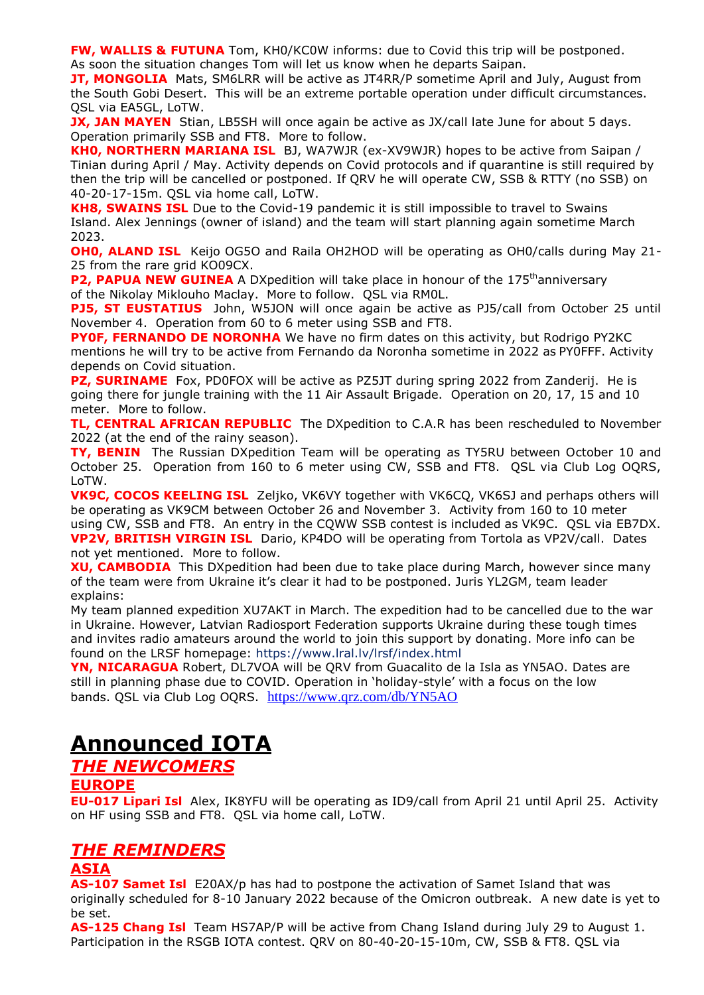**FW, WALLIS & FUTUNA** Tom, KH0/KC0W informs: due to Covid this trip will be postponed. As soon the situation changes Tom will let us know when he departs Saipan.

**JT, MONGOLIA** Mats, SM6LRR will be active as JT4RR/P sometime April and July, August from the South Gobi Desert. This will be an extreme portable operation under difficult circumstances. QSL via EA5GL, LoTW.

**JX, JAN MAYEN** Stian, LB5SH will once again be active as JX/call late June for about 5 days. Operation primarily SSB and FT8. More to follow.

**KH0, NORTHERN MARIANA ISL** BJ, WA7WJR (ex-XV9WJR) hopes to be active from Saipan / Tinian during April / May. Activity depends on Covid protocols and if quarantine is still required by then the trip will be cancelled or postponed. If QRV he will operate CW, SSB & RTTY (no SSB) on 40-20-17-15m. QSL via home call, LoTW.

**KH8, SWAINS ISL** Due to the Covid-19 pandemic it is still impossible to travel to Swains Island. Alex Jennings (owner of island) and the team will start planning again sometime March 2023.

**OH0, ALAND ISL** Keijo OG5O and Raila OH2HOD will be operating as OH0/calls during May 21-25 from the rare grid KO09CX.

**P2, PAPUA NEW GUINEA** A DXpedition will take place in honour of the 175<sup>th</sup>anniversary of the Nikolay Miklouho Maclay. More to follow. QSL via RM0L.

**PJ5, ST EUSTATIUS** John, W5JON will once again be active as PJ5/call from October 25 until November 4. Operation from 60 to 6 meter using SSB and FT8.

**PY0F, FERNANDO DE NORONHA** We have no firm dates on this activity, but Rodrigo PY2KC mentions he will try to be active from Fernando da Noronha sometime in 2022 as PY0FFF. Activity depends on Covid situation.

**PZ, SURINAME** Fox, PD0FOX will be active as PZ5JT during spring 2022 from Zanderij. He is going there for jungle training with the 11 Air Assault Brigade. Operation on 20, 17, 15 and 10 meter. More to follow.

**TL, CENTRAL AFRICAN REPUBLIC** The DXpedition to C.A.R has been rescheduled to November 2022 (at the end of the rainy season).

**TY, BENIN** The Russian DXpedition Team will be operating as TY5RU between October 10 and October 25. Operation from 160 to 6 meter using CW, SSB and FT8. QSL via Club Log OQRS, LoTW.

**VK9C, COCOS KEELING ISL** Zeljko, VK6VY together with VK6CQ, VK6SJ and perhaps others will be operating as VK9CM between October 26 and November 3. Activity from 160 to 10 meter using CW, SSB and FT8. An entry in the CQWW SSB contest is included as VK9C. QSL via EB7DX. **VP2V, BRITISH VIRGIN ISL** Dario, KP4DO will be operating from Tortola as VP2V/call. Dates not yet mentioned. More to follow.

**XU, CAMBODIA** This DXpedition had been due to take place during March, however since many of the team were from Ukraine it's clear it had to be postponed. Juris YL2GM, team leader explains:

My team planned expedition XU7AKT in March. The expedition had to be cancelled due to the war in Ukraine. However, Latvian Radiosport Federation supports Ukraine during these tough times and invites radio amateurs around the world to join this support by donating. More info can be found on the LRSF homepage: <https://www.lral.lv/lrsf/index.html>

**YN, NICARAGUA** Robert, DL7VOA will be QRV from Guacalito de la Isla as YN5AO. Dates are still in planning phase due to COVID. Operation in 'holiday-style' with a focus on the low bands. QSL via Club Log OQRS. <https://www.qrz.com/db/YN5AO>

# **Announced IOTA**

### *THE NEWCOMERS*

### **EUROPE**

**EU-017 Lipari Isl** Alex, IK8YFU will be operating as ID9/call from April 21 until April 25. Activity on HF using SSB and FT8. QSL via home call, LoTW.

### *THE REMINDERS*

### **ASIA**

**AS-107 Samet Isl** E20AX/p has had to postpone the activation of Samet Island that was originally scheduled for 8-10 January 2022 because of the Omicron outbreak. A new date is yet to be set.

**AS-125 Chang Isl** Team HS7AP/P will be active from Chang Island during July 29 to August 1. Participation in the RSGB IOTA contest. QRV on 80-40-20-15-10m, CW, SSB & FT8. QSL via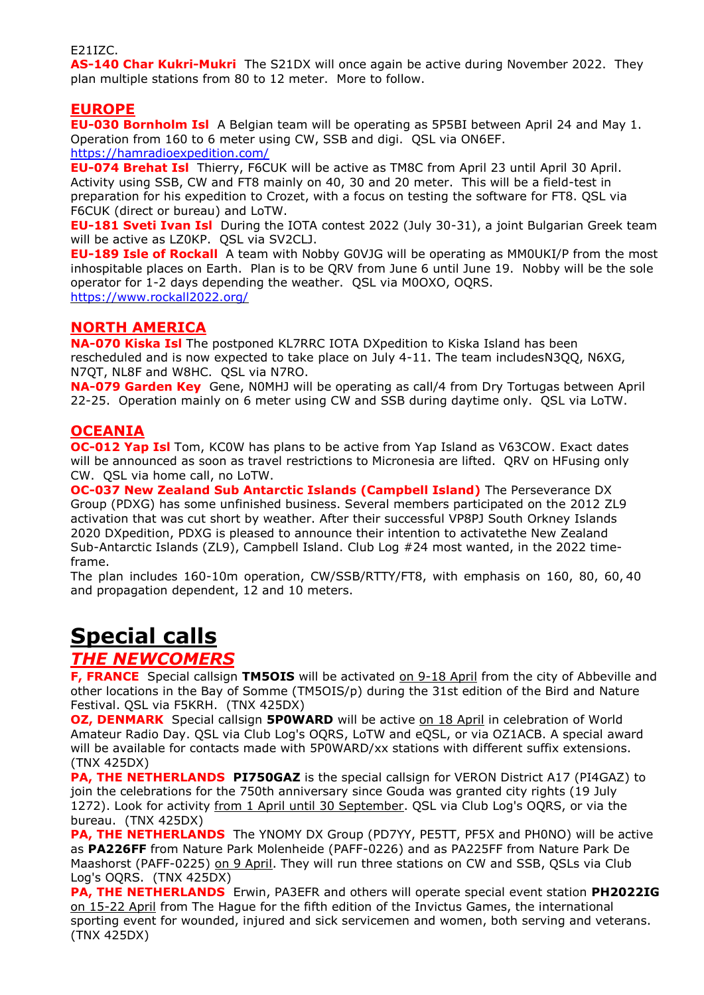#### E21IZC.

**AS-140 Char Kukri-Mukri** The S21DX will once again be active during November 2022. They plan multiple stations from 80 to 12 meter. More to follow.

### **EUROPE**

**EU-030 Bornholm Isl** A Belgian team will be operating as 5P5BI between April 24 and May 1. Operation from 160 to 6 meter using CW, SSB and digi. QSL via ON6EF. <https://hamradioexpedition.com/>

**EU-074 Brehat Isl** Thierry, F6CUK will be active as TM8C from April 23 until April 30 April. Activity using SSB, CW and FT8 mainly on 40, 30 and 20 meter. This will be a field-test in preparation for his expedition to Crozet, with a focus on testing the software for FT8. QSL via F6CUK (direct or bureau) and LoTW.

**EU-181 Sveti Ivan Isl** During the IOTA contest 2022 (July 30-31), a joint Bulgarian Greek team will be active as LZ0KP. QSL via SV2CLJ.

**EU-189 Isle of Rockall** A team with Nobby G0VJG will be operating as MM0UKI/P from the most inhospitable places on Earth. Plan is to be QRV from June 6 until June 19. Nobby will be the sole operator for 1-2 days depending the weather. QSL via M0OXO, OQRS. <https://www.rockall2022.org/>

### **NORTH AMERICA**

**NA-070 Kiska Isl** The postponed KL7RRC IOTA DXpedition to Kiska Island has been rescheduled and is now expected to take place on July 4-11. The team includesN3QQ, N6XG, N7QT, NL8F and W8HC. QSL via N7RO.

**NA-079 Garden Key** Gene, N0MHJ will be operating as call/4 from Dry Tortugas between April 22-25. Operation mainly on 6 meter using CW and SSB during daytime only. QSL via LoTW.

### **OCEANIA**

**OC-012 Yap Isl** Tom, KC0W has plans to be active from Yap Island as V63COW. Exact dates will be announced as soon as travel restrictions to Micronesia are lifted. QRV on HFusing only CW. QSL via home call, no LoTW.

**OC-037 New Zealand Sub Antarctic Islands (Campbell Island)** The Perseverance DX Group (PDXG) has some unfinished business. Several members participated on the 2012 ZL9 activation that was cut short by weather. After their successful VP8PJ South Orkney Islands 2020 DXpedition, PDXG is pleased to announce their intention to activatethe New Zealand Sub-Antarctic Islands (ZL9), Campbell Island. Club Log #24 most wanted, in the 2022 timeframe.

The plan includes 160-10m operation, CW/SSB/RTTY/FT8, with emphasis on 160, 80, 60, 40 and propagation dependent, 12 and 10 meters.

# **Special calls**

### *THE NEWCOMERS*

**F, FRANCE** Special callsign **TM5OIS** will be activated on 9-18 April from the city of Abbeville and other locations in the Bay of Somme (TM5OIS/p) during the 31st edition of the Bird and Nature Festival. QSL via F5KRH. (TNX 425DX)

**OZ, DENMARK** Special callsign **5P0WARD** will be active on 18 April in celebration of World Amateur Radio Day. QSL via Club Log's OQRS, LoTW and eQSL, or via OZ1ACB. A special award will be available for contacts made with 5P0WARD/xx stations with different suffix extensions. (TNX 425DX)

**PA, THE NETHERLANDS PI750GAZ** is the special callsign for VERON District A17 (PI4GAZ) to join the celebrations for the 750th anniversary since Gouda was granted city rights (19 July 1272). Look for activity from 1 April until 30 September. QSL via Club Log's OQRS, or via the bureau. (TNX 425DX)

**PA, THE NETHERLANDS** The YNOMY DX Group (PD7YY, PE5TT, PF5X and PH0NO) will be active as **PA226FF** from Nature Park Molenheide (PAFF-0226) and as PA225FF from Nature Park De Maashorst (PAFF-0225) on 9 April. They will run three stations on CW and SSB, QSLs via Club Log's OQRS. (TNX 425DX)

**PA, THE NETHERLANDS** Erwin, PA3EFR and others will operate special event station **PH2022IG** on 15-22 April from The Hague for the fifth edition of the Invictus Games, the international sporting event for wounded, injured and sick servicemen and women, both serving and veterans. (TNX 425DX)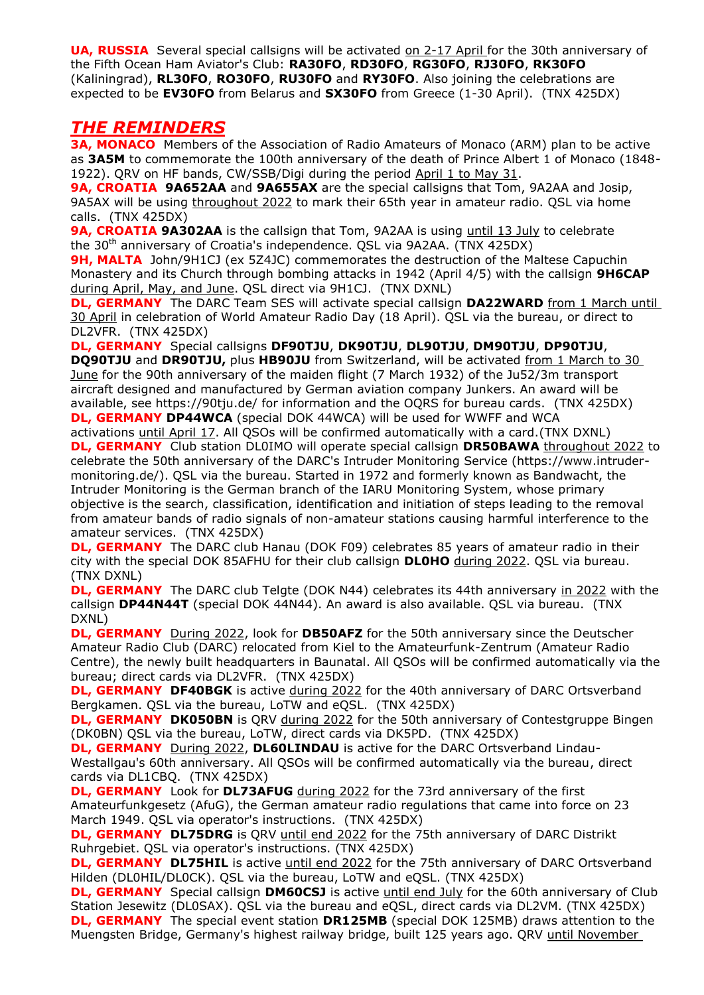**UA, RUSSIA** Several special callsigns will be activated on 2-17 April for the 30th anniversary of the Fifth Ocean Ham Aviator's Club: **RA30FO**, **RD30FO**, **RG30FO**, **RJ30FO**, **RK30FO** (Kaliningrad), **RL30FO**, **RO30FO**, **RU30FO** and **RY30FO**. Also joining the celebrations are expected to be **EV30FO** from Belarus and **SX30FO** from Greece (1-30 April). (TNX 425DX)

### *THE REMINDERS*

**3A, MONACO** Members of the Association of Radio Amateurs of Monaco (ARM) plan to be active as **3A5M** to commemorate the 100th anniversary of the death of Prince Albert 1 of Monaco (1848- 1922). QRV on HF bands, CW/SSB/Digi during the period April 1 to May 31.

**9A, CROATIA 9A652AA** and **9A655AX** are the special callsigns that Tom, 9A2AA and Josip, 9A5AX will be using throughout 2022 to mark their 65th year in amateur radio. QSL via home calls. (TNX 425DX)

**9A, CROATIA 9A302AA** is the callsign that Tom, 9A2AA is using until 13 July to celebrate the 30th anniversary of Croatia's independence. QSL via 9A2AA. (TNX 425DX)

**9H, MALTA** John/9H1CJ (ex 5Z4JC) commemorates the destruction of the Maltese Capuchin Monastery and its Church through bombing attacks in 1942 (April 4/5) with the callsign **9H6CAP** during April, May, and June. QSL direct via 9H1CJ. (TNX DXNL)

**DL, GERMANY** The DARC Team SES will activate special callsign DA22WARD from 1 March until 30 April in celebration of World Amateur Radio Day (18 April). QSL via the bureau, or direct to DL2VFR. (TNX 425DX)

**DL, GERMANY** Special callsigns **DF90TJU**, **DK90TJU**, **DL90TJU**, **DM90TJU**, **DP90TJU**,

**DQ90TJU** and DR90TJU, plus HB90JU from Switzerland, will be activated from 1 March to 30 June for the 90th anniversary of the maiden flight (7 March 1932) of the Ju52/3m transport aircraft designed and manufactured by German aviation company Junkers. An award will be available, see https://90tju.de/ for information and the OQRS for bureau cards. (TNX 425DX) **DL, GERMANY DP44WCA** (special DOK 44WCA) will be used for WWFF and WCA

activations until April 17. All QSOs will be confirmed automatically with a card.(TNX DXNL) **DL, GERMANY** Club station DL0IMO will operate special callsign **DR50BAWA** throughout 2022 to celebrate the 50th anniversary of the DARC's Intruder Monitoring Service (https://www.intrudermonitoring.de/). QSL via the bureau. Started in 1972 and formerly known as Bandwacht, the Intruder Monitoring is the German branch of the IARU Monitoring System, whose primary objective is the search, classification, identification and initiation of steps leading to the removal from amateur bands of radio signals of non-amateur stations causing harmful interference to the amateur services. (TNX 425DX)

**DL, GERMANY** The DARC club Hanau (DOK F09) celebrates 85 years of amateur radio in their city with the special DOK 85AFHU for their club callsign **DL0HO** during 2022. QSL via bureau. (TNX DXNL)

**DL, GERMANY** The DARC club Telgte (DOK N44) celebrates its 44th anniversary in 2022 with the callsign **DP44N44T** (special DOK 44N44). An award is also available. QSL via bureau. (TNX DXNL)

**DL, GERMANY** During 2022, look for **DB50AFZ** for the 50th anniversary since the Deutscher Amateur Radio Club (DARC) relocated from Kiel to the Amateurfunk-Zentrum (Amateur Radio Centre), the newly built headquarters in Baunatal. All QSOs will be confirmed automatically via the bureau; direct cards via DL2VFR. (TNX 425DX)

**DL, GERMANY DF40BGK** is active during 2022 for the 40th anniversary of DARC Ortsverband Bergkamen. QSL via the bureau, LoTW and eQSL. (TNX 425DX)

**DL, GERMANY DK050BN** is QRV during 2022 for the 50th anniversary of Contestgruppe Bingen (DK0BN) QSL via the bureau, LoTW, direct cards via DK5PD. (TNX 425DX)

**DL, GERMANY** During 2022, **DL60LINDAU** is active for the DARC Ortsverband Lindau-Westallgau's 60th anniversary. All QSOs will be confirmed automatically via the bureau, direct cards via DL1CBQ. (TNX 425DX)

**DL, GERMANY** Look for DL73AFUG during 2022 for the 73rd anniversary of the first Amateurfunkgesetz (AfuG), the German amateur radio regulations that came into force on 23 March 1949. QSL via operator's instructions. (TNX 425DX)

**DL, GERMANY DL75DRG** is QRV until end 2022 for the 75th anniversary of DARC Distrikt Ruhrgebiet. QSL via operator's instructions. (TNX 425DX)

**DL, GERMANY DL75HIL** is active until end 2022 for the 75th anniversary of DARC Ortsverband Hilden (DL0HIL/DL0CK). QSL via the bureau, LoTW and eQSL. (TNX 425DX)

**DL, GERMANY** Special callsign **DM60CSJ** is active until end July for the 60th anniversary of Club Station Jesewitz (DL0SAX). QSL via the bureau and eQSL, direct cards via DL2VM. (TNX 425DX) **DL, GERMANY** The special event station **DR125MB** (special DOK 125MB) draws attention to the Muengsten Bridge, Germany's highest railway bridge, built 125 years ago. QRV until November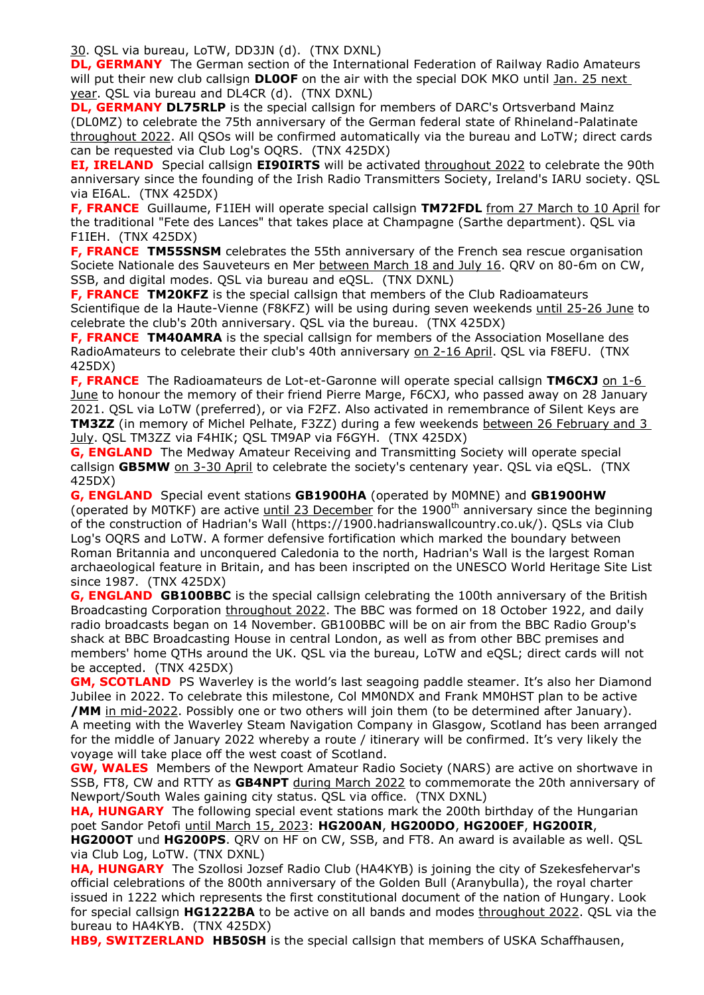30. QSL via bureau, LoTW, DD3JN (d). (TNX DXNL)

**DL, GERMANY** The German section of the International Federation of Railway Radio Amateurs will put their new club callsign **DL0OF** on the air with the special DOK MKO until Jan. 25 next year. QSL via bureau and DL4CR (d). (TNX DXNL)

**DL, GERMANY DL75RLP** is the special callsign for members of DARC's Ortsverband Mainz (DL0MZ) to celebrate the 75th anniversary of the German federal state of Rhineland-Palatinate throughout 2022. All QSOs will be confirmed automatically via the bureau and LoTW; direct cards can be requested via Club Log's OQRS. (TNX 425DX)

**EI, IRELAND**Special callsign **EI90IRTS** will be activated throughout 2022 to celebrate the 90th anniversary since the founding of the Irish Radio Transmitters Society, Ireland's IARU society. QSL via EI6AL. (TNX 425DX)

**F, FRANCE** Guillaume, F1IEH will operate special callsign **TM72FDL** from 27 March to 10 April for the traditional "Fete des Lances" that takes place at Champagne (Sarthe department). QSL via F1IEH. (TNX 425DX)

**F, FRANCE TM55SNSM** celebrates the 55th anniversary of the French sea rescue organisation Societe Nationale des Sauveteurs en Mer between March 18 and July 16. QRV on 80-6m on CW, SSB, and digital modes. QSL via bureau and eQSL. (TNX DXNL)

**F, FRANCE TM20KFZ** is the special callsign that members of the Club Radioamateurs Scientifique de la Haute-Vienne (F8KFZ) will be using during seven weekends until 25-26 June to celebrate the club's 20th anniversary. QSL via the bureau. (TNX 425DX)

**F, FRANCE TM40AMRA** is the special callsign for members of the Association Mosellane des RadioAmateurs to celebrate their club's 40th anniversary on 2-16 April. QSL via F8EFU. (TNX 425DX)

**F, FRANCE** The Radioamateurs de Lot-et-Garonne will operate special callsign TM6CXJ on 1-6 June to honour the memory of their friend Pierre Marge, F6CXJ, who passed away on 28 January 2021. QSL via LoTW (preferred), or via F2FZ. Also activated in remembrance of Silent Keys are **TM3ZZ** (in memory of Michel Pelhate, F3ZZ) during a few weekends between 26 February and 3 July. QSL TM3ZZ via F4HIK; QSL TM9AP via F6GYH. (TNX 425DX)

**G, ENGLAND** The Medway Amateur Receiving and Transmitting Society will operate special callsign **GB5MW** on 3-30 April to celebrate the society's centenary year. QSL via eQSL. (TNX 425DX)

**G, ENGLAND** Special event stations **GB1900HA** (operated by M0MNE) and **GB1900HW** (operated by M0TKF) are active until 23 December for the 1900<sup>th</sup> anniversary since the beginning of the construction of Hadrian's Wall (https://1900.hadrianswallcountry.co.uk/). QSLs via Club Log's OQRS and LoTW. A former defensive fortification which marked the boundary between Roman Britannia and unconquered Caledonia to the north, Hadrian's Wall is the largest Roman archaeological feature in Britain, and has been inscripted on the UNESCO World Heritage Site List since 1987. (TNX 425DX)

**G, ENGLAND GB100BBC** is the special callsign celebrating the 100th anniversary of the British Broadcasting Corporation throughout 2022. The BBC was formed on 18 October 1922, and daily radio broadcasts began on 14 November. GB100BBC will be on air from the BBC Radio Group's shack at BBC Broadcasting House in central London, as well as from other BBC premises and members' home QTHs around the UK. QSL via the bureau, LoTW and eQSL; direct cards will not be accepted. (TNX 425DX)

**GM, SCOTLAND** PS Waverley is the world's last seagoing paddle steamer. It's also her Diamond Jubilee in 2022. To celebrate this milestone, Col MM0NDX and Frank MM0HST plan to be active **/MM** in mid-2022. Possibly one or two others will join them (to be determined after January). A meeting with the Waverley Steam Navigation Company in Glasgow, Scotland has been arranged for the middle of January 2022 whereby a route / itinerary will be confirmed. It's very likely the voyage will take place off the west coast of Scotland.

**GW, WALES** Members of the Newport Amateur Radio Society (NARS) are active on shortwave in SSB, FT8, CW and RTTY as **GB4NPT** during March 2022 to commemorate the 20th anniversary of Newport/South Wales gaining city status. QSL via office. (TNX DXNL)

**HA, HUNGARY** The following special event stations mark the 200th birthday of the Hungarian poet Sandor Petofi until March 15, 2023: **HG200AN**, **HG200DO**, **HG200EF**, **HG200IR**, **HG200OT** und **HG200PS**. QRV on HF on CW, SSB, and FT8. An award is available as well. QSL via Club Log, LoTW. (TNX DXNL)

**HA, HUNGARY** The Szollosi Jozsef Radio Club (HA4KYB) is joining the city of Szekesfehervar's official celebrations of the 800th anniversary of the Golden Bull (Aranybulla), the royal charter issued in 1222 which represents the first constitutional document of the nation of Hungary. Look for special callsign **HG1222BA** to be active on all bands and modes throughout 2022. QSL via the bureau to HA4KYB. (TNX 425DX)

**HB9, SWITZERLAND HB50SH** is the special callsign that members of USKA Schaffhausen,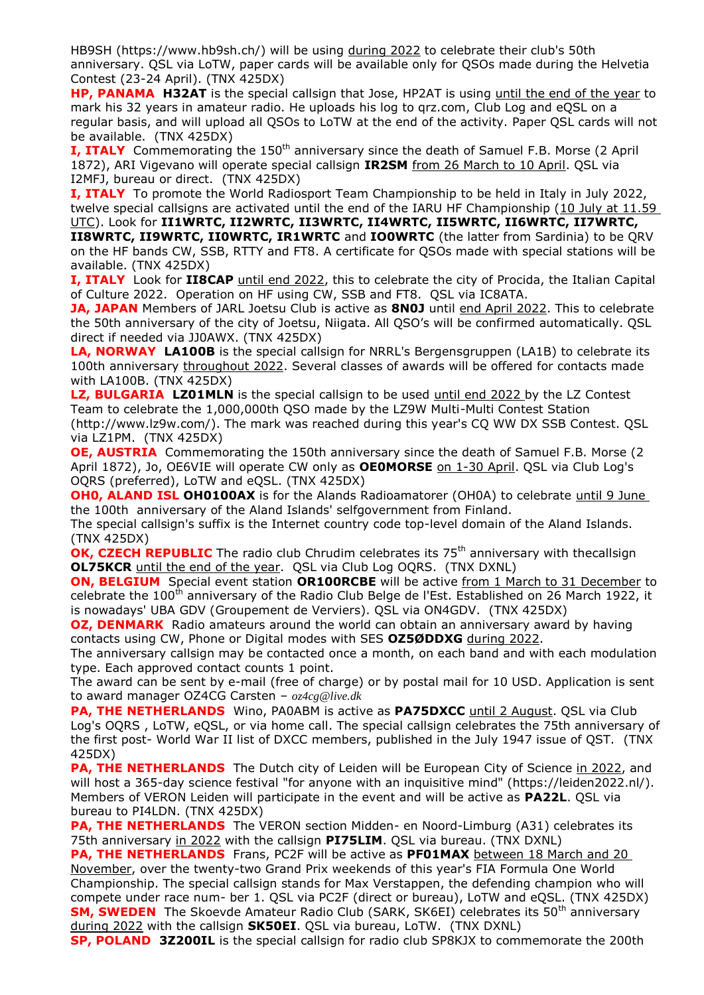HB9SH (https://www.hb9sh.ch/) will be using during 2022 to celebrate their club's 50th anniversary. QSL via LoTW, paper cards will be available only for QSOs made during the Helvetia Contest (23-24 April). (TNX 425DX)

**HP, PANAMA H32AT** is the special callsign that Jose, HP2AT is using until the end of the year to mark his 32 years in amateur radio. He uploads his log to qrz.com, Club Log and eQSL on a regular basis, and will upload all QSOs to LoTW at the end of the activity. Paper QSL cards will not be available. (TNX 425DX)

**I, ITALY** Commemorating the 150<sup>th</sup> anniversary since the death of Samuel F.B. Morse (2 April 1872), ARI Vigevano will operate special callsign **IR2SM** from 26 March to 10 April. QSL via I2MFJ, bureau or direct. (TNX 425DX)

**I, ITALY** To promote the World Radiosport Team Championship to be held in Italy in July 2022, twelve special callsigns are activated until the end of the IARU HF Championship (10 July at 11.59 UTC). Look for **II1WRTC, II2WRTC, II3WRTC, II4WRTC, II5WRTC, II6WRTC, II7WRTC,** 

**II8WRTC, II9WRTC, II0WRTC, IR1WRTC** and **IO0WRTC** (the latter from Sardinia) to be QRV on the HF bands CW, SSB, RTTY and FT8. A certificate for QSOs made with special stations will be available. (TNX 425DX)

**I, ITALY** Look for **II8CAP** until end 2022, this to celebrate the city of Procida, the Italian Capital of Culture 2022. Operation on HF using CW, SSB and FT8. QSL via IC8ATA.

**JA, JAPAN** Members of JARL Joetsu Club is active as **8N0J** until end April 2022. This to celebrate the 50th anniversary of the city of Joetsu, Niigata. All QSO's will be confirmed automatically. QSL direct if needed via JJ0AWX. (TNX 425DX)

**LA, NORWAY LA100B** is the special callsign for NRRL's Bergensgruppen (LA1B) to celebrate its 100th anniversary throughout 2022. Several classes of awards will be offered for contacts made with LA100B. (TNX 425DX)

**LZ, BULGARIA LZ01MLN** is the special callsign to be used until end 2022 by the LZ Contest Team to celebrate the 1,000,000th QSO made by the LZ9W Multi-Multi Contest Station (http://www.lz9w.com/). The mark was reached during this year's CQ WW DX SSB Contest. QSL via LZ1PM. (TNX 425DX)

**OE, AUSTRIA** Commemorating the 150th anniversary since the death of Samuel F.B. Morse (2) April 1872), Jo, OE6VIE will operate CW only as **OE0MORSE** on 1-30 April. QSL via Club Log's OQRS (preferred), LoTW and eQSL. (TNX 425DX)

**OH0, ALAND ISL OH0100AX** is for the Alands Radioamatorer (OH0A) to celebrate until 9 June the 100th anniversary of the Aland Islands' selfgovernment from Finland.

The special callsign's suffix is the Internet country code top-level domain of the Aland Islands. (TNX 425DX)

**OK, CZECH REPUBLIC** The radio club Chrudim celebrates its 75<sup>th</sup> anniversary with thecallsign **OL75KCR** until the end of the year. QSL via Club Log OQRS. (TNX DXNL)

**ON, BELGIUM** Special event station OR100RCBE will be active from 1 March to 31 December to celebrate the 100<sup>th</sup> anniversary of the Radio Club Belge de l'Est. Established on 26 March 1922, it is nowadays' UBA GDV (Groupement de Verviers). QSL via ON4GDV. (TNX 425DX)

**OZ, DENMARK** Radio amateurs around the world can obtain an anniversary award by having contacts using CW, Phone or Digital modes with SES **OZ5ØDDXG** during 2022.

The anniversary callsign may be contacted once a month, on each band and with each modulation type. Each approved contact counts 1 point.

The award can be sent by e-mail (free of charge) or by postal mail for 10 USD. Application is sent to award manager OZ4CG Carsten – *oz4cg@live.dk*

**PA, THE NETHERLANDS** Wino, PA0ABM is active as **PA75DXCC** until 2 August. QSL via Club Log's OQRS , LoTW, eQSL, or via home call. The special callsign celebrates the 75th anniversary of the first post- World War II list of DXCC members, published in the July 1947 issue of QST. (TNX 425DX)

**PA, THE NETHERLANDS** The Dutch city of Leiden will be European City of Science in 2022, and will host a 365-day science festival "for anyone with an inquisitive mind" (https://leiden2022.nl/). Members of VERON Leiden will participate in the event and will be active as **PA22L**. QSL via bureau to PI4LDN. (TNX 425DX)

**PA, THE NETHERLANDS** The VERON section Midden- en Noord-Limburg (A31) celebrates its 75th anniversary in 2022 with the callsign **PI75LIM**. QSL via bureau. (TNX DXNL)

**PA, THE NETHERLANDS** Frans, PC2F will be active as **PF01MAX** between 18 March and 20 November, over the twenty-two Grand Prix weekends of this year's FIA Formula One World Championship. The special callsign stands for Max Verstappen, the defending champion who will compete under race num- ber 1. QSL via PC2F (direct or bureau), LoTW and eQSL. (TNX 425DX) **SM, SWEDEN** The Skoevde Amateur Radio Club (SARK, SK6EI) celebrates its 50<sup>th</sup> anniversary during 2022 with the callsign **SK50EI**. QSL via bureau, LoTW. (TNX DXNL)

**SP, POLAND 3Z200IL** is the special callsign for radio club SP8KJX to commemorate the 200th